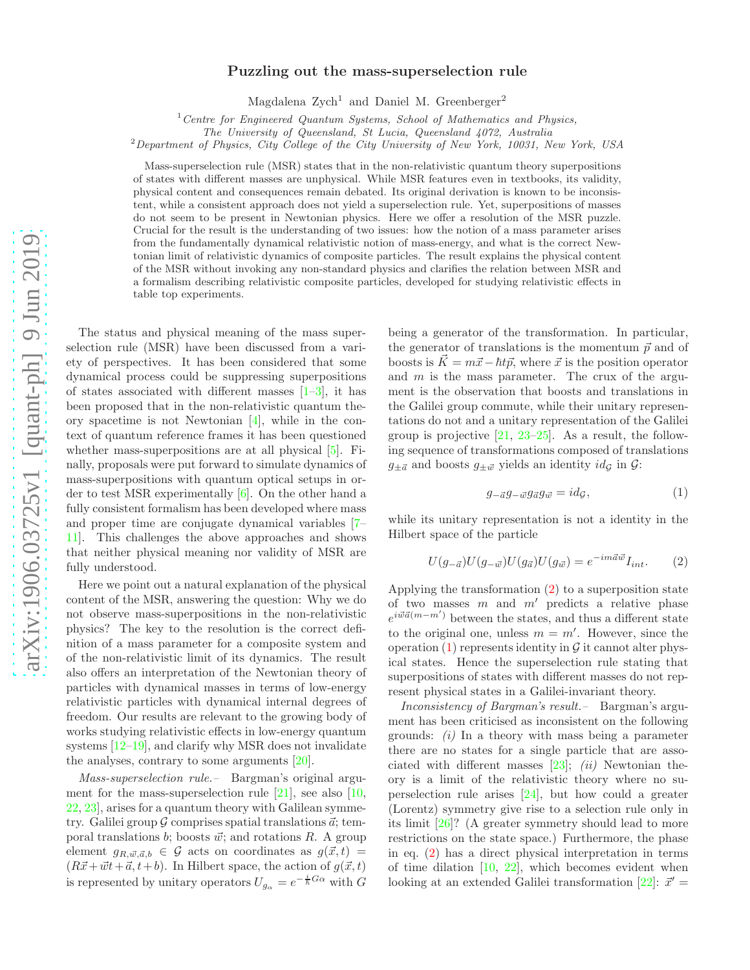## arXiv:1906.03725v1 [quant-ph] 9 Jun 2019 [arXiv:1906.03725v1 \[quant-ph\] 9 Jun 2019](http://arxiv.org/abs/1906.03725v1)

## Puzzling out the mass-superselection rule

Magdalena  $\text{Zych}^1$  and Daniel M. Greenberger<sup>2</sup>

 $1$  Centre for Engineered Quantum Systems, School of Mathematics and Physics,

The University of Queensland, St Lucia, Queensland 4072, Australia

<sup>2</sup>Department of Physics, City College of the City University of New York, 10031, New York, USA

Mass-superselection rule (MSR) states that in the non-relativistic quantum theory superpositions of states with different masses are unphysical. While MSR features even in textbooks, its validity, physical content and consequences remain debated. Its original derivation is known to be inconsistent, while a consistent approach does not yield a superselection rule. Yet, superpositions of masses do not seem to be present in Newtonian physics. Here we offer a resolution of the MSR puzzle. Crucial for the result is the understanding of two issues: how the notion of a mass parameter arises from the fundamentally dynamical relativistic notion of mass-energy, and what is the correct Newtonian limit of relativistic dynamics of composite particles. The result explains the physical content of the MSR without invoking any non-standard physics and clarifies the relation between MSR and a formalism describing relativistic composite particles, developed for studying relativistic effects in table top experiments.

The status and physical meaning of the mass superselection rule (MSR) have been discussed from a variety of perspectives. It has been considered that some dynamical process could be suppressing superpositions of states associated with different masses  $[1-3]$ , it has been proposed that in the non-relativistic quantum theory spacetime is not Newtonian [\[4\]](#page-4-2), while in the context of quantum reference frames it has been questioned whether mass-superpositions are at all physical [\[5\]](#page-4-3). Finally, proposals were put forward to simulate dynamics of mass-superpositions with quantum optical setups in order to test MSR experimentally [\[6](#page-4-4)]. On the other hand a fully consistent formalism has been developed where mass and proper time are conjugate dynamical variables [\[7](#page-4-5)– [11\]](#page-4-6). This challenges the above approaches and shows that neither physical meaning nor validity of MSR are fully understood.

Here we point out a natural explanation of the physical content of the MSR, answering the question: Why we do not observe mass-superpositions in the non-relativistic physics? The key to the resolution is the correct definition of a mass parameter for a composite system and of the non-relativistic limit of its dynamics. The result also offers an interpretation of the Newtonian theory of particles with dynamical masses in terms of low-energy relativistic particles with dynamical internal degrees of freedom. Our results are relevant to the growing body of works studying relativistic effects in low-energy quantum systems [\[12](#page-4-7)[–19\]](#page-4-8), and clarify why MSR does not invalidate the analyses, contrary to some arguments [\[20](#page-4-9)].

Mass-superselection rule.– Bargman's original argument for the mass-superselection rule  $[21]$ , see also  $[10]$ , [22,](#page-4-12) [23\]](#page-4-13), arises for a quantum theory with Galilean symmetry. Galilei group  $G$  comprises spatial translations  $\vec{a}$ ; temporal translations b; boosts  $\vec{w}$ ; and rotations R. A group element  $g_{R,\vec{w},\vec{a},b} \in \mathcal{G}$  acts on coordinates as  $g(\vec{x},t) =$  $(R\vec{x} + \vec{w}t + \vec{a}, t + b)$ . In Hilbert space, the action of  $g(\vec{x}, t)$ is represented by unitary operators  $U_{g_{\alpha}} = e^{-\frac{i}{\hbar}G_{\alpha}}$  with  $G$ 

being a generator of the transformation. In particular, the generator of translations is the momentum  $\vec{p}$  and of boosts is  $\vec{K} = m\vec{x} - \hbar t\vec{p}$ , where  $\vec{x}$  is the position operator and  $m$  is the mass parameter. The crux of the argument is the observation that boosts and translations in the Galilei group commute, while their unitary representations do not and a unitary representation of the Galilei group is projective  $[21, 23-25]$  $[21, 23-25]$  $[21, 23-25]$ . As a result, the following sequence of transformations composed of translations  $g_{\pm \vec{a}}$  and boosts  $g_{\pm \vec{w}}$  yields an identity  $id_{\mathcal{G}}$  in  $\mathcal{G}$ :

<span id="page-0-1"></span>
$$
g_{-\vec{a}}g_{-\vec{w}}g_{\vec{a}}g_{\vec{w}} = id_{\mathcal{G}},\tag{1}
$$

while its unitary representation is not a identity in the Hilbert space of the particle

<span id="page-0-0"></span>
$$
U(g_{-\vec{a}})U(g_{-\vec{w}})U(g_{\vec{a}})U(g_{\vec{w}}) = e^{-im\vec{a}\vec{w}}I_{int}.
$$
 (2)

Applying the transformation [\(2\)](#page-0-0) to a superposition state of two masses  $m$  and  $m'$  predicts a relative phase  $e^{i\vec{w}\vec{a}(m-m')}$  between the states, and thus a different state to the original one, unless  $m = m'$ . However, since the operation  $(1)$  represents identity in  $\mathcal G$  it cannot alter physical states. Hence the superselection rule stating that superpositions of states with different masses do not represent physical states in a Galilei-invariant theory.

Inconsistency of Bargman's result.– Bargman's argument has been criticised as inconsistent on the following grounds:  $(i)$  In a theory with mass being a parameter there are no states for a single particle that are associated with different masses  $[23]$ ;  $(ii)$  Newtonian theory is a limit of the relativistic theory where no superselection rule arises [\[24\]](#page-4-15), but how could a greater (Lorentz) symmetry give rise to a selection rule only in its limit [\[26\]](#page-4-16)? (A greater symmetry should lead to more restrictions on the state space.) Furthermore, the phase in eq. [\(2\)](#page-0-0) has a direct physical interpretation in terms of time dilation  $[10, 22]$  $[10, 22]$ , which becomes evident when looking at an extended Galilei transformation [\[22\]](#page-4-12):  $\vec{x}'$  =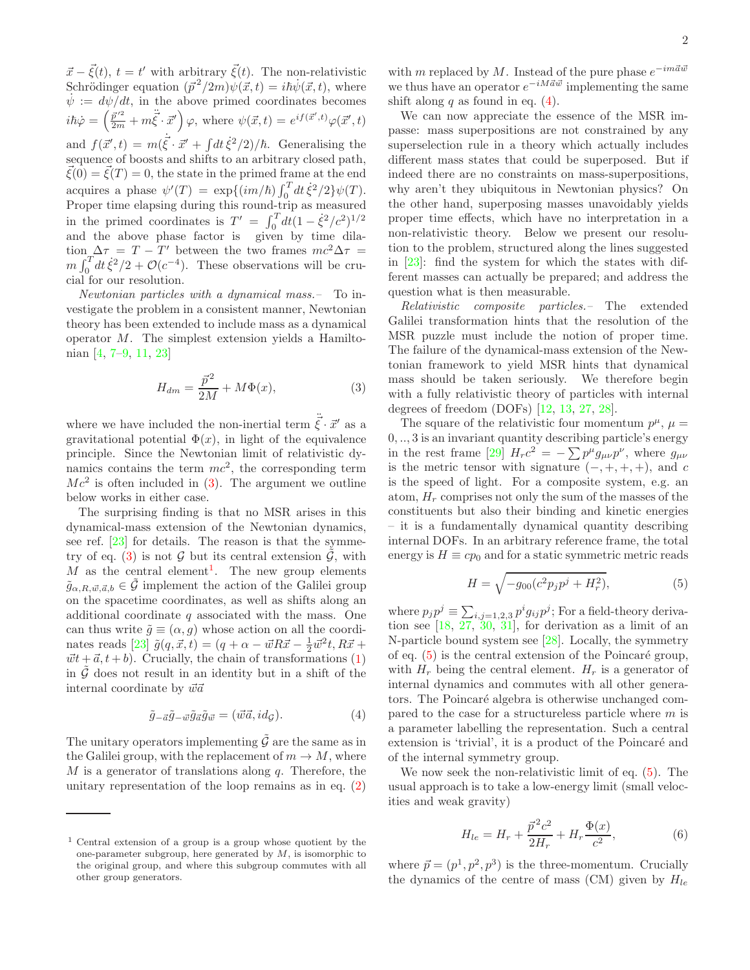$\vec{x} - \vec{\xi}(t)$ ,  $t = t'$  with arbitrary  $\vec{\xi}(t)$ . The non-relativistic Schrödinger equation  $(\vec{p}^2/2m)\psi(\vec{x},t) = i\hbar\dot{\psi}(\vec{x},t)$ , where  $\dot{\psi} := d\psi/dt$ , in the above primed coordinates becomes  $i\hbar\dot{\varphi} = \left(\frac{\vec{p}^{\prime 2}}{2m} + m\ddot{\vec{\xi}} \cdot \vec{x}'\right)\varphi$ , where  $\psi(\vec{x}, t) = e^{if(\vec{x}', t)}\varphi(\vec{x}', t)$ and  $f(\vec{x}', t) = m(\dot{\vec{\xi}} \cdot \vec{x}' + \int dt \,\dot{\xi}^2/2)/\hbar$ . Generalising the sequence of boosts and shifts to an arbitrary closed path,  $\bar{\xi}(0) = \bar{\xi}(T) = 0$ , the state in the primed frame at the end acquires a phase  $\psi'(T) = \exp\{(i m/\hbar) \int_0^T dt \dot{\xi}^2/2\} \psi(T)$ . Proper time elapsing during this round-trip as measured in the primed coordinates is  $T' = \int_0^T dt (1 - \dot{\xi}^2/c^2)^{1/2}$ and the above phase factor is given by time dilation  $\Delta \tau = T - T'$  between the two frames  $mc^2 \Delta \tau =$  $m \int_0^T dt \dot{\xi}^2/2 + \mathcal{O}(c^{-4})$ . These observations will be crucial for our resolution.

Newtonian particles with a dynamical mass.– To investigate the problem in a consistent manner, Newtonian theory has been extended to include mass as a dynamical operator M. The simplest extension yields a Hamiltonian [\[4,](#page-4-2) [7](#page-4-5)[–9,](#page-4-17) [11,](#page-4-6) [23](#page-4-13)]

<span id="page-1-0"></span>
$$
H_{dm} = \frac{\vec{p}^2}{2M} + M\Phi(x),\tag{3}
$$

where we have included the non-inertial term  $\vec{\xi} \cdot \vec{x}'$  as a gravitational potential  $\Phi(x)$ , in light of the equivalence principle. Since the Newtonian limit of relativistic dynamics contains the term  $mc^2$ , the corresponding term  $Mc^2$  is often included in [\(3\)](#page-1-0). The argument we outline below works in either case.

The surprising finding is that no MSR arises in this dynamical-mass extension of the Newtonian dynamics, see ref. [\[23\]](#page-4-13) for details. The reason is that the symme-try of eq. [\(3\)](#page-1-0) is not  $G$  but its central extension  $G$ , with M as the central element<sup>[1](#page-1-1)</sup>. The new group elements  $\tilde{g}_{\alpha,R,\vec{w},\vec{a},b} \in \tilde{\mathcal{G}}$  implement the action of the Galilei group on the spacetime coordinates, as well as shifts along an additional coordinate  $q$  associated with the mass. One can thus write  $\tilde{q} \equiv (\alpha, q)$  whose action on all the coordi-nates reads [\[23\]](#page-4-13)  $\tilde{g}(q, \vec{x}, t) = (q + \alpha - \vec{w}R\vec{x} - \frac{1}{2}\vec{w}^{2}t, R\vec{x} + \vec{w}$  $\vec{w}t + \vec{a}, t + b$ . Crucially, the chain of transformations [\(1\)](#page-0-1) in  $\tilde{G}$  does not result in an identity but in a shift of the internal coordinate by  $\vec{w}\vec{a}$ 

<span id="page-1-2"></span>
$$
\tilde{g}_{-\vec{a}}\tilde{g}_{-\vec{w}}\tilde{g}_{\vec{a}}\tilde{g}_{\vec{w}} = (\vec{w}\vec{a}, id_{\mathcal{G}}). \tag{4}
$$

The unitary operators implementing  $\tilde{\mathcal{G}}$  are the same as in the Galilei group, with the replacement of  $m \to M$ , where M is a generator of translations along  $q$ . Therefore, the unitary representation of the loop remains as in eq. [\(2\)](#page-0-0)

with m replaced by M. Instead of the pure phase  $e^{-im\vec{a}\vec{w}}$ we thus have an operator  $e^{-iM\vec{a}\vec{w}}$  implementing the same shift along  $q$  as found in eq. [\(4\)](#page-1-2).

We can now appreciate the essence of the MSR impasse: mass superpositions are not constrained by any superselection rule in a theory which actually includes different mass states that could be superposed. But if indeed there are no constraints on mass-superpositions, why aren't they ubiquitous in Newtonian physics? On the other hand, superposing masses unavoidably yields proper time effects, which have no interpretation in a non-relativistic theory. Below we present our resolution to the problem, structured along the lines suggested in [\[23\]](#page-4-13): find the system for which the states with different masses can actually be prepared; and address the question what is then measurable.

Relativistic composite particles.– The extended Galilei transformation hints that the resolution of the MSR puzzle must include the notion of proper time. The failure of the dynamical-mass extension of the Newtonian framework to yield MSR hints that dynamical mass should be taken seriously. We therefore begin with a fully relativistic theory of particles with internal degrees of freedom (DOFs) [\[12,](#page-4-7) [13,](#page-4-18) [27](#page-4-19), [28\]](#page-4-20).

The square of the relativistic four momentum  $p^{\mu}$ ,  $\mu =$ 0, .., 3 is an invariant quantity describing particle's energy in the rest frame [\[29\]](#page-4-21)  $H_r c^2 = -\sum p^{\mu} g_{\mu\nu} p^{\nu}$ , where  $g_{\mu\nu}$ is the metric tensor with signature  $(-, +, +, +)$ , and c is the speed of light. For a composite system, e.g. an atom,  $H_r$  comprises not only the sum of the masses of the constituents but also their binding and kinetic energies – it is a fundamentally dynamical quantity describing internal DOFs. In an arbitrary reference frame, the total energy is  $H \equiv cp_0$  and for a static symmetric metric reads

<span id="page-1-3"></span>
$$
H = \sqrt{-g_{00}(c^2 p_j p^j + H_r^2)},\tag{5}
$$

where  $p_j p^j \equiv \sum_{i,j=1,2,3} p^i g_{ij} p^j$ ; For a field-theory derivation see [\[18](#page-4-22), [27,](#page-4-19) [30,](#page-4-23) [31\]](#page-4-24), for derivation as a limit of an N-particle bound system see [\[28](#page-4-20)]. Locally, the symmetry of eq.  $(5)$  is the central extension of the Poincaré group, with  $H_r$  being the central element.  $H_r$  is a generator of internal dynamics and commutes with all other generators. The Poincaré algebra is otherwise unchanged compared to the case for a structureless particle where m is a parameter labelling the representation. Such a central extension is 'trivial', it is a product of the Poincaré and of the internal symmetry group.

We now seek the non-relativistic limit of eq. [\(5\)](#page-1-3). The usual approach is to take a low-energy limit (small velocities and weak gravity)

<span id="page-1-4"></span>
$$
H_{le} = H_r + \frac{\vec{p}^2 c^2}{2H_r} + H_r \frac{\Phi(x)}{c^2},\tag{6}
$$

where  $\vec{p} = (p^1, p^2, p^3)$  is the three-momentum. Crucially the dynamics of the centre of mass (CM) given by  $H_{le}$ 

<span id="page-1-1"></span><sup>1</sup> Central extension of a group is a group whose quotient by the one-parameter subgroup, here generated by  $M$ , is isomorphic to the original group, and where this subgroup commutes with all other group generators.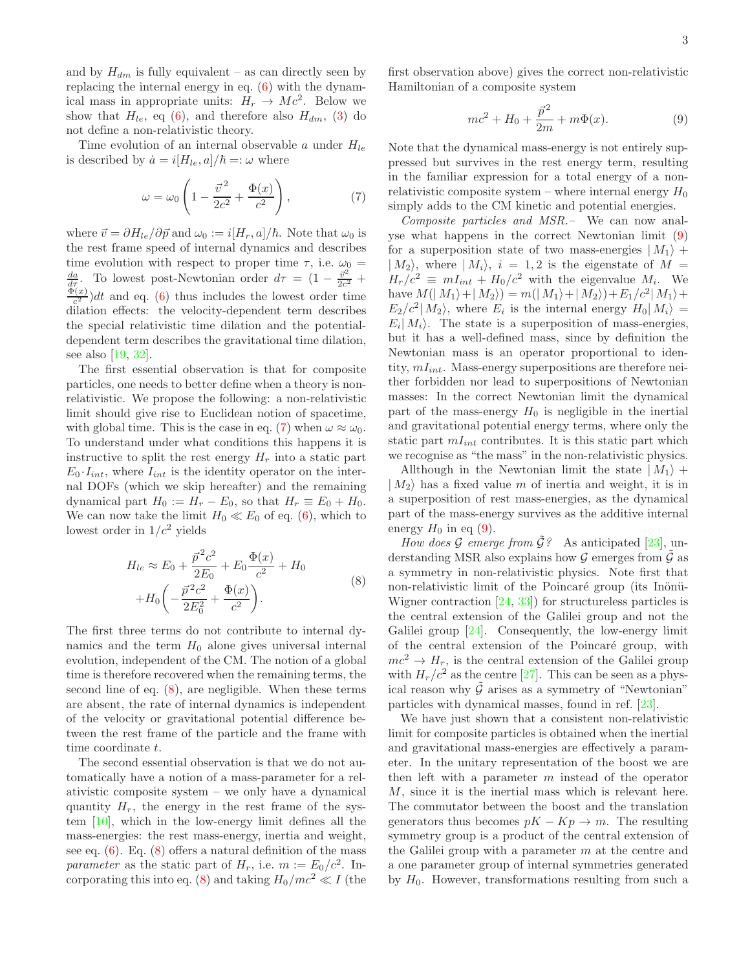and by  $H_{dm}$  is fully equivalent – as can directly seen by replacing the internal energy in eq. [\(6\)](#page-1-4) with the dynamical mass in appropriate units:  $H_r \to Mc^2$ . Below we show that  $H_{le}$ , eq [\(6\)](#page-1-4), and therefore also  $H_{dm}$ , [\(3\)](#page-1-0) do not define a non-relativistic theory.

Time evolution of an internal observable a under  $H_{le}$ is described by  $\dot{a} = i[H_{le}, a]/\hbar =:\omega$  where

<span id="page-2-0"></span>
$$
\omega = \omega_0 \left( 1 - \frac{\vec{v}^2}{2c^2} + \frac{\Phi(x)}{c^2} \right),\tag{7}
$$

where  $\vec{v} = \partial H_{le}/\partial \vec{p}$  and  $\omega_0 := i[H_r, a]/\hbar$ . Note that  $\omega_0$  is the rest frame speed of internal dynamics and describes time evolution with respect to proper time  $\tau$ , i.e.  $\omega_0 =$  $\frac{da}{d\tau}$ . To lowest post-Newtonian order  $d\tau = (1 - \frac{\vec{v}^2}{2c^2} +$  $\Phi(x)$  $\frac{c^{(x)}}{c^2}$ )dt and eq. [\(6\)](#page-1-4) thus includes the lowest order time dilation effects: the velocity-dependent term describes the special relativistic time dilation and the potentialdependent term describes the gravitational time dilation, see also [\[19,](#page-4-8) [32\]](#page-4-25).

The first essential observation is that for composite particles, one needs to better define when a theory is nonrelativistic. We propose the following: a non-relativistic limit should give rise to Euclidean notion of spacetime, with global time. This is the case in eq. [\(7\)](#page-2-0) when  $\omega \approx \omega_0$ . To understand under what conditions this happens it is instructive to split the rest energy  $H_r$  into a static part  $E_0 I_{int}$ , where  $I_{int}$  is the identity operator on the internal DOFs (which we skip hereafter) and the remaining dynamical part  $H_0 := H_r - E_0$ , so that  $H_r \equiv E_0 + H_0$ . We can now take the limit  $H_0 \ll E_0$  of eq. [\(6\)](#page-1-4), which to lowest order in  $1/c^2$  yields

$$
H_{le} \approx E_0 + \frac{\vec{p}^2 c^2}{2E_0} + E_0 \frac{\Phi(x)}{c^2} + H_0
$$
  
+
$$
H_0 \left( -\frac{\vec{p}^2 c^2}{2E_0^2} + \frac{\Phi(x)}{c^2} \right).
$$
 (8)

<span id="page-2-1"></span>The first three terms do not contribute to internal dynamics and the term  $H_0$  alone gives universal internal evolution, independent of the CM. The notion of a global time is therefore recovered when the remaining terms, the second line of eq. [\(8\)](#page-2-1), are negligible. When these terms are absent, the rate of internal dynamics is independent of the velocity or gravitational potential difference between the rest frame of the particle and the frame with time coordinate t.

The second essential observation is that we do not automatically have a notion of a mass-parameter for a relativistic composite system – we only have a dynamical quantity  $H_r$ , the energy in the rest frame of the system [\[10\]](#page-4-11), which in the low-energy limit defines all the mass-energies: the rest mass-energy, inertia and weight, see eq.  $(6)$ . Eq.  $(8)$  offers a natural definition of the mass parameter as the static part of  $H_r$ , i.e.  $m := E_0/c^2$ . In-corporating this into eq. [\(8\)](#page-2-1) and taking  $H_0/mc^2 \ll I$  (the first observation above) gives the correct non-relativistic Hamiltonian of a composite system

<span id="page-2-2"></span>
$$
mc^2 + H_0 + \frac{\vec{p}^2}{2m} + m\Phi(x).
$$
 (9)

Note that the dynamical mass-energy is not entirely suppressed but survives in the rest energy term, resulting in the familiar expression for a total energy of a nonrelativistic composite system – where internal energy  $H_0$ simply adds to the CM kinetic and potential energies.

Composite particles and MSR.– We can now analyse what happens in the correct Newtonian limit [\(9\)](#page-2-2) for a superposition state of two mass-energies  $|M_1\rangle$  +  $|M_2\rangle$ , where  $|M_i\rangle$ ,  $i = 1, 2$  is the eigenstate of  $M =$  $H_r/c^2 \equiv mI_{int} + H_0/c^2$  with the eigenvalue  $M_i$ . We have  $M(|M_1\rangle + |M_2\rangle) = m(|M_1\rangle + |M_2\rangle) + E_1/c^2|M_1\rangle +$  $E_2/c^2|M_2\rangle$ , where  $E_i$  is the internal energy  $H_0|M_i\rangle =$  $E_i|M_i\rangle$ . The state is a superposition of mass-energies, but it has a well-defined mass, since by definition the Newtonian mass is an operator proportional to identity,  $mI_{int}$ . Mass-energy superpositions are therefore neither forbidden nor lead to superpositions of Newtonian masses: In the correct Newtonian limit the dynamical part of the mass-energy  $H_0$  is negligible in the inertial and gravitational potential energy terms, where only the static part  $mI_{int}$  contributes. It is this static part which we recognise as "the mass" in the non-relativistic physics.

Allthough in the Newtonian limit the state  $|M_1\rangle$  +  $|M_2\rangle$  has a fixed value m of inertia and weight, it is in a superposition of rest mass-energies, as the dynamical part of the mass-energy survives as the additive internal energy  $H_0$  in eq [\(9\)](#page-2-2).

How does G emerge from  $\tilde{\mathcal{G}}$ ? As anticipated [\[23\]](#page-4-13), understanding MSR also explains how  $\mathcal G$  emerges from  $\mathcal G$  as a symmetry in non-relativistic physics. Note first that non-relativistic limit of the Poincaré group (its Inönü-Wigner contraction [\[24](#page-4-15), [33\]](#page-4-26)) for structureless particles is the central extension of the Galilei group and not the Galilei group [\[24\]](#page-4-15). Consequently, the low-energy limit of the central extension of the Poincaré group, with  $mc^2 \rightarrow H_r$ , is the central extension of the Galilei group with  $H_r/c^2$  as the centre [\[27](#page-4-19)]. This can be seen as a physical reason why  $\tilde{G}$  arises as a symmetry of "Newtonian" particles with dynamical masses, found in ref. [\[23\]](#page-4-13).

We have just shown that a consistent non-relativistic limit for composite particles is obtained when the inertial and gravitational mass-energies are effectively a parameter. In the unitary representation of the boost we are then left with a parameter  $m$  instead of the operator M, since it is the inertial mass which is relevant here. The commutator between the boost and the translation generators thus becomes  $pK - Kp \rightarrow m$ . The resulting symmetry group is a product of the central extension of the Galilei group with a parameter  $m$  at the centre and a one parameter group of internal symmetries generated by  $H_0$ . However, transformations resulting from such a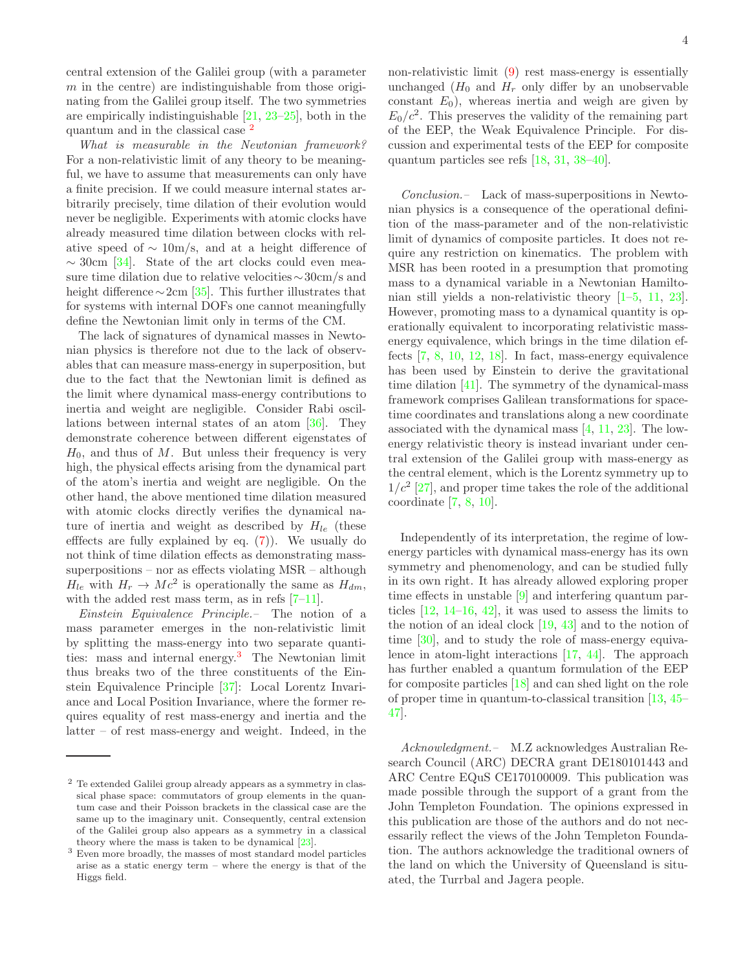central extension of the Galilei group (with a parameter  $m$  in the centre) are indistinguishable from those originating from the Galilei group itself. The two symmetries

quantum and in the classical case [2](#page-3-0) What is measurable in the Newtonian framework? For a non-relativistic limit of any theory to be meaningful, we have to assume that measurements can only have a finite precision. If we could measure internal states arbitrarily precisely, time dilation of their evolution would never be negligible. Experiments with atomic clocks have already measured time dilation between clocks with relative speed of  $\sim 10 \text{m/s}$ , and at a height difference of  $\sim$  30cm [\[34](#page-4-27)]. State of the art clocks could even measure time dilation due to relative velocities∼30cm/s and height difference  $\sim$ 2cm [\[35](#page-4-28)]. This further illustrates that for systems with internal DOFs one cannot meaningfully define the Newtonian limit only in terms of the CM.

are empirically indistinguishable [\[21,](#page-4-10) [23](#page-4-13)[–25\]](#page-4-14), both in the

The lack of signatures of dynamical masses in Newtonian physics is therefore not due to the lack of observables that can measure mass-energy in superposition, but due to the fact that the Newtonian limit is defined as the limit where dynamical mass-energy contributions to inertia and weight are negligible. Consider Rabi oscillations between internal states of an atom [\[36\]](#page-4-29). They demonstrate coherence between different eigenstates of  $H_0$ , and thus of M. But unless their frequency is very high, the physical effects arising from the dynamical part of the atom's inertia and weight are negligible. On the other hand, the above mentioned time dilation measured with atomic clocks directly verifies the dynamical nature of inertia and weight as described by  $H_{le}$  (these efffects are fully explained by eq. [\(7\)](#page-2-0)). We usually do not think of time dilation effects as demonstrating masssuperpositions – nor as effects violating MSR – although  $H_{le}$  with  $H_r \to Mc^2$  is operationally the same as  $H_{dm}$ , with the added rest mass term, as in refs  $[7-11]$ .

Einstein Equivalence Principle.– The notion of a mass parameter emerges in the non-relativistic limit by splitting the mass-energy into two separate quanti-ties: mass and internal energy.<sup>[3](#page-3-1)</sup> The Newtonian limit thus breaks two of the three constituents of the Einstein Equivalence Principle [\[37\]](#page-4-30): Local Lorentz Invariance and Local Position Invariance, where the former requires equality of rest mass-energy and inertia and the latter – of rest mass-energy and weight. Indeed, in the non-relativistic limit [\(9\)](#page-2-2) rest mass-energy is essentially

4

unchanged  $(H_0$  and  $H_r$  only differ by an unobservable constant  $E_0$ ), whereas inertia and weigh are given by  $E_0/c^2$ . This preserves the validity of the remaining part of the EEP, the Weak Equivalence Principle. For discussion and experimental tests of the EEP for composite quantum particles see refs [\[18,](#page-4-22) [31,](#page-4-24) [38](#page-4-31)[–40\]](#page-5-0).

Conclusion.– Lack of mass-superpositions in Newtonian physics is a consequence of the operational definition of the mass-parameter and of the non-relativistic limit of dynamics of composite particles. It does not require any restriction on kinematics. The problem with MSR has been rooted in a presumption that promoting mass to a dynamical variable in a Newtonian Hamiltonian still yields a non-relativistic theory [\[1](#page-4-0)[–5,](#page-4-3) [11](#page-4-6), [23\]](#page-4-13). However, promoting mass to a dynamical quantity is operationally equivalent to incorporating relativistic massenergy equivalence, which brings in the time dilation effects [\[7](#page-4-5), [8,](#page-4-32) [10](#page-4-11), [12,](#page-4-7) [18](#page-4-22)]. In fact, mass-energy equivalence has been used by Einstein to derive the gravitational time dilation [\[41\]](#page-5-1). The symmetry of the dynamical-mass framework comprises Galilean transformations for spacetime coordinates and translations along a new coordinate associated with the dynamical mass [\[4,](#page-4-2) [11](#page-4-6), [23](#page-4-13)]. The lowenergy relativistic theory is instead invariant under central extension of the Galilei group with mass-energy as the central element, which is the Lorentz symmetry up to  $1/c^2$  [\[27](#page-4-19)], and proper time takes the role of the additional coordinate [\[7,](#page-4-5) [8,](#page-4-32) [10\]](#page-4-11).

Independently of its interpretation, the regime of lowenergy particles with dynamical mass-energy has its own symmetry and phenomenology, and can be studied fully in its own right. It has already allowed exploring proper time effects in unstable [\[9\]](#page-4-17) and interfering quantum particles [\[12,](#page-4-7) [14](#page-4-33)[–16](#page-4-34), [42\]](#page-5-2), it was used to assess the limits to the notion of an ideal clock [\[19](#page-4-8), [43](#page-5-3)] and to the notion of time [\[30](#page-4-23)], and to study the role of mass-energy equivalence in atom-light interactions [\[17,](#page-4-35) [44\]](#page-5-4). The approach has further enabled a quantum formulation of the EEP for composite particles [\[18\]](#page-4-22) and can shed light on the role of proper time in quantum-to-classical transition [\[13,](#page-4-18) [45](#page-5-5)– [47](#page-5-6)].

Acknowledgment.– M.Z acknowledges Australian Research Council (ARC) DECRA grant DE180101443 and ARC Centre EQuS CE170100009. This publication was made possible through the support of a grant from the John Templeton Foundation. The opinions expressed in this publication are those of the authors and do not necessarily reflect the views of the John Templeton Foundation. The authors acknowledge the traditional owners of the land on which the University of Queensland is situated, the Turrbal and Jagera people.

<span id="page-3-0"></span><sup>2</sup> Te extended Galilei group already appears as a symmetry in classical phase space: commutators of group elements in the quantum case and their Poisson brackets in the classical case are the same up to the imaginary unit. Consequently, central extension of the Galilei group also appears as a symmetry in a classical theory where the mass is taken to be dynamical [\[23\]](#page-4-13).

<span id="page-3-1"></span><sup>3</sup> Even more broadly, the masses of most standard model particles arise as a static energy term – where the energy is that of the Higgs field.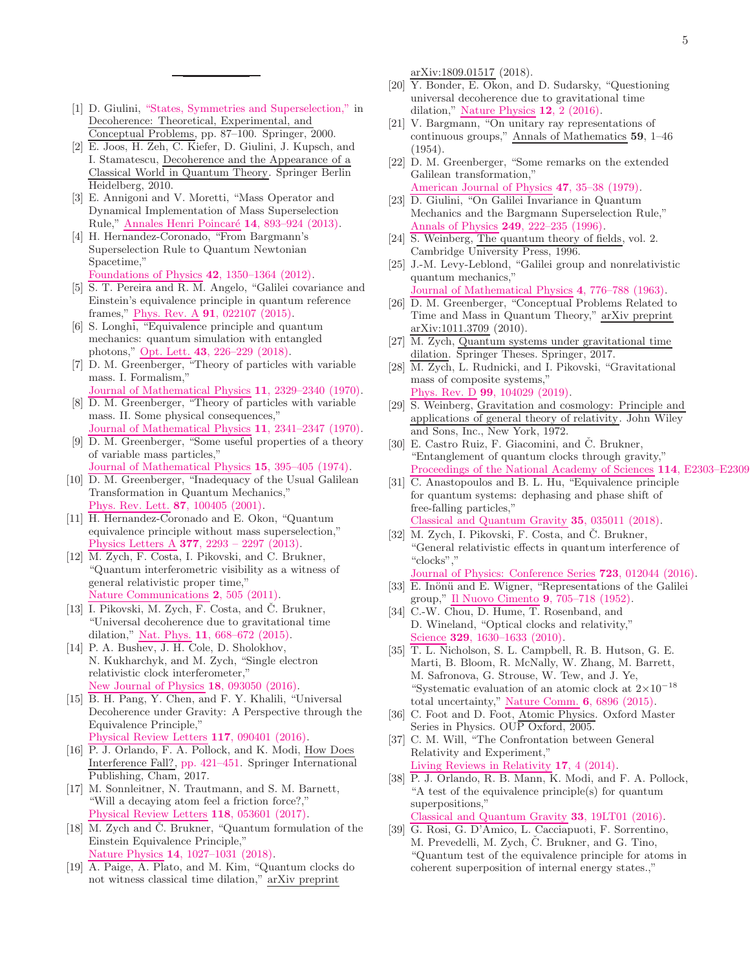- <span id="page-4-0"></span>[1] D. Giulini, ["States, Symmetries and Superselection,"](http://dx.doi.org/10.1007/3-540-46657-6_7) in Decoherence: Theoretical, Experimental, and Conceptual Problems, pp. 87–100. Springer, 2000.
- [2] E. Joos, H. Zeh, C. Kiefer, D. Giulini, J. Kupsch, and I. Stamatescu, Decoherence and the Appearance of a Classical World in Quantum Theory. Springer Berlin Heidelberg, 2010.
- <span id="page-4-1"></span>[3] E. Annigoni and V. Moretti, "Mass Operator and Dynamical Implementation of Mass Superselection Rule," Annales Henri Poincaré 14, 893-924 (2013).
- <span id="page-4-2"></span>[4] H. Hernandez-Coronado, "From Bargmann's Superselection Rule to Quantum Newtonian Spacetime," Foundations of Physics 42[, 1350–1364 \(2012\).](http://dx.doi.org/10.1007/s10701-012-9673-5)
- <span id="page-4-3"></span>[5] S. T. Pereira and R. M. Angelo, "Galilei covariance and Einstein's equivalence principle in quantum reference frames," Phys. Rev. A 91[, 022107 \(2015\).](http://dx.doi.org/10.1103/PhysRevA.91.022107)
- <span id="page-4-4"></span>[6] S. Longhi, "Equivalence principle and quantum mechanics: quantum simulation with entangled photons," Opt. Lett. 43[, 226–229 \(2018\).](http://dx.doi.org/10.1364/OL.43.000226)
- <span id="page-4-5"></span>[7] D. M. Greenberger, "Theory of particles with variable mass. I. Formalism,"
- Journal of Mathematical Physics 11[, 2329–2340 \(1970\).](http://dx.doi.org/10.1063/1.1665400) [8] D. M. Greenberger, "Theory of particles with variable
- <span id="page-4-32"></span>mass. II. Some physical consequences," Journal of Mathematical Physics 11[, 2341–2347 \(1970\).](http://dx.doi.org/10.1063/1.1665401)
- <span id="page-4-17"></span>[9] D. M. Greenberger, "Some useful properties of a theory of variable mass particles,"
- Journal of Mathematical Physics 15[, 395–405 \(1974\).](http://dx.doi.org/10.1063/1.1666658)
- <span id="page-4-11"></span>[10] D. M. Greenberger, "Inadequacy of the Usual Galilean Transformation in Quantum Mechanics," Phys. Rev. Lett. 87[, 100405 \(2001\).](http://dx.doi.org/10.1103/PhysRevLett.87.100405)
- <span id="page-4-6"></span>[11] H. Hernandez-Coronado and E. Okon, "Quantum equivalence principle without mass superselection," Physics Letters A 377[, 2293 – 2297 \(2013\).](http://dx.doi.org/https://doi.org/10.1016/j.physleta.2013.07.006)
- <span id="page-4-7"></span>[12] M. Zych, F. Costa, I. Pikovski, and C. Brukner, "Quantum interferometric visibility as a witness of general relativistic proper time," Nature [Communications](http://dx.doi.org/10.1038/ncomms1498) 2, 505 (2011).
- <span id="page-4-18"></span>[13] I. Pikovski, M. Zych, F. Costa, and Č. Brukner, "Universal decoherence due to gravitational time dilation," Nat. Phys. 11[, 668–672 \(2015\).](http://dx.doi.org/10.1038/nphys3366)
- <span id="page-4-33"></span>[14] P. A. Bushev, J. H. Cole, D. Sholokhov, N. Kukharchyk, and M. Zych, "Single electron relativistic clock interferometer," New Journal of Physics 18[, 093050 \(2016\).](http://dx.doi.org/10.1088/1367-2630/18/9/093050)
- [15] B. H. Pang, Y. Chen, and F. Y. Khalili, "Universal Decoherence under Gravity: A Perspective through the Equivalence Principle," Physical Review Letters 117[, 090401 \(2016\).](http://dx.doi.org/10.1103/PhysRevLett.117.090401)
- <span id="page-4-34"></span>[16] P. J. Orlando, F. A. Pollock, and K. Modi, How Does Interference Fall?, [pp. 421–451.](http://dx.doi.org/10.1007/978-3-319-53412-1_19) Springer International Publishing, Cham, 2017.
- <span id="page-4-35"></span>[17] M. Sonnleitner, N. Trautmann, and S. M. Barnett, "Will a decaying atom feel a friction force?," Physical Review Letters 118[, 053601 \(2017\).](http://dx.doi.org/10.1103/PhysRevLett.118.053601)
- <span id="page-4-22"></span>[18] M. Zych and  $\check{C}$ . Brukner, "Quantum formulation of the Einstein Equivalence Principle," Nature Physics 14[, 1027–1031 \(2018\).](http://dx.doi.org/10.1038/s41567-018-0197-6)
- <span id="page-4-8"></span>[19] A. Paige, A. Plato, and M. Kim, "Quantum clocks do not witness classical time dilation," arXiv preprint

arXiv:1809.01517 (2018).

- <span id="page-4-9"></span>[20] Y. Bonder, E. Okon, and D. Sudarsky, "Questioning universal decoherence due to gravitational time dilation," Nature Physics 12[, 2 \(2016\).](http://dx.doi.org/doi.org/10.1038/nphys3573)
- <span id="page-4-10"></span>[21] V. Bargmann, "On unitary ray representations of continuous groups," Annals of Mathematics 59, 1–46 (1954).
- <span id="page-4-12"></span>[22] D. M. Greenberger, "Some remarks on the extended Galilean transformation," American Journal of Physics 47[, 35–38 \(1979\).](http://dx.doi.org/10.1119/1.11660)
- <span id="page-4-13"></span>[23] D. Giulini, "On Galilei Invariance in Quantum Mechanics and the Bargmann Superselection Rule," Annals of Physics **249**[, 222–235 \(1996\).](http://dx.doi.org/10.1006/aphy.1996.0069)
- <span id="page-4-15"></span>[24] S. Weinberg, The quantum theory of fields, vol. 2. Cambridge University Press, 1996.
- <span id="page-4-14"></span>[25] J.-M. Levy-Leblond, "Galilei group and nonrelativistic quantum mechanics,

Journal of Mathematical Physics 4[, 776–788 \(1963\).](http://dx.doi.org/10.1063/1.1724319)

- <span id="page-4-16"></span>[26] D. M. Greenberger, "Conceptual Problems Related to Time and Mass in Quantum Theory," arXiv preprint arXiv:1011.3709 (2010).
- <span id="page-4-19"></span>[27] M. Zych, Quantum systems under gravitational time dilation. Springer Theses. Springer, 2017.
- <span id="page-4-20"></span>[28] M. Zych, L. Rudnicki, and I. Pikovski, "Gravitational mass of composite systems," Phys. Rev. D 99[, 104029 \(2019\).](http://dx.doi.org/10.1103/PhysRevD.99.104029)
- <span id="page-4-21"></span>[29] S. Weinberg, Gravitation and cosmology: Principle and applications of general theory of relativity. John Wiley and Sons, Inc., New York, 1972.
- <span id="page-4-23"></span>[30] E. Castro Ruiz, F. Giacomini, and Č. Brukner, "Entanglement of quantum clocks through gravity," Proceedings of the National Academy of Sciences 114, E2303–E2309
- <span id="page-4-24"></span>[31] C. Anastopoulos and B. L. Hu, "Equivalence principle for quantum systems: dephasing and phase shift of free-falling particles," Classical and Quantum Gravity 35[, 035011 \(2018\).](http://dx.doi.org/10.1088/1361-6382/aaa0e8)
- <span id="page-4-25"></span>[32] M. Zych, I. Pikovski, F. Costa, and  $\check{C}$ . Brukner, "General relativistic effects in quantum interference of "clocks","

Journal of Physics: Conference Series 723[, 012044 \(2016\).](http://dx.doi.org/10.1088/1742-6596/723/1/012044)

- <span id="page-4-26"></span>[33]  $\overline{E}$ . Inönü and E. Wigner, "Representations of the Galilei group," Il Nuovo Cimento 9[, 705–718 \(1952\).](http://dx.doi.org/10.1007/BF02782239)
- <span id="page-4-27"></span>[34] C.-W. Chou, D. Hume, T. Rosenband, and D. Wineland, "Optical clocks and relativity," Science **329**[, 1630–1633 \(2010\).](http://dx.doi.org/10.1126/science.1192720)
- <span id="page-4-28"></span>[35] T. L. Nicholson, S. L. Campbell, R. B. Hutson, G. E. Marti, B. Bloom, R. McNally, W. Zhang, M. Barrett, M. Safronova, G. Strouse, W. Tew, and J. Ye, "Systematic evaluation of an atomic clock at  $2\times10^{-18}$ total uncertainty," Nature Comm. 6[, 6896 \(2015\).](http://dx.doi.org/10.1038/ncomms7896)
- <span id="page-4-29"></span>[36] C. Foot and D. Foot, Atomic Physics. Oxford Master Series in Physics. OUP Oxford, 2005.
- <span id="page-4-30"></span>[37] C. M. Will, "The Confrontation between General Relativity and Experiment," Living Reviews in Relativity 17[, 4 \(2014\).](http://dx.doi.org/10.12942/lrr-2014-4)
- <span id="page-4-31"></span>[38] P. J. Orlando, R. B. Mann, K. Modi, and F. A. Pollock, "A test of the equivalence principle(s) for quantum superpositions," Classical and Quantum Gravity 33[, 19LT01 \(2016\).](http://dx.doi.org/10.1088/0264-9381/33/19/19LT01)
- [39] G. Rosi, G. D'Amico, L. Cacciapuoti, F. Sorrentino, M. Prevedelli, M. Zych, C. Brukner, and G. Tino, "Quantum test of the equivalence principle for atoms in coherent superposition of internal energy states.,"